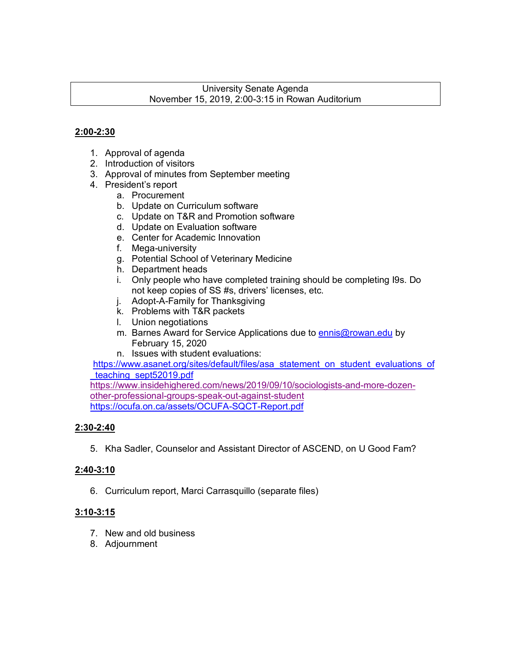## University Senate Agenda November 15, 2019, 2:00-3:15 in Rowan Auditorium

# **2:00-2:30**

- 1. Approval of agenda
- 2. Introduction of visitors
- 3. Approval of minutes from September meeting
- 4. President's report
	- a. Procurement
	- b. Update on Curriculum software
	- c. Update on T&R and Promotion software
	- d. Update on Evaluation software
	- e. Center for Academic Innovation
	- f. Mega-university
	- g. Potential School of Veterinary Medicine
	- h. Department heads
	- i. Only people who have completed training should be completing I9s. Do not keep copies of SS #s, drivers' licenses, etc.
	- j. Adopt-A-Family for Thanksgiving
	- k. Problems with T&R packets
	- l. Union negotiations
	- m. Barnes Award for Service Applications due to ennis@rowan.edu by February 15, 2020
	- n. Issues with student evaluations:

https://www.asanet.org/sites/default/files/asa\_statement\_on\_student\_evaluations\_of teaching sept52019.pdf

https://www.insidehighered.com/news/2019/09/10/sociologists-and-more-dozenother-professional-groups-speak-out-against-student https://ocufa.on.ca/assets/OCUFA-SQCT-Report.pdf

# **2:30-2:40**

5. Kha Sadler, Counselor and Assistant Director of ASCEND, on U Good Fam?

# **2:40-3:10**

6. Curriculum report, Marci Carrasquillo (separate files)

# **3:10-3:15**

- 7. New and old business
- 8. Adjournment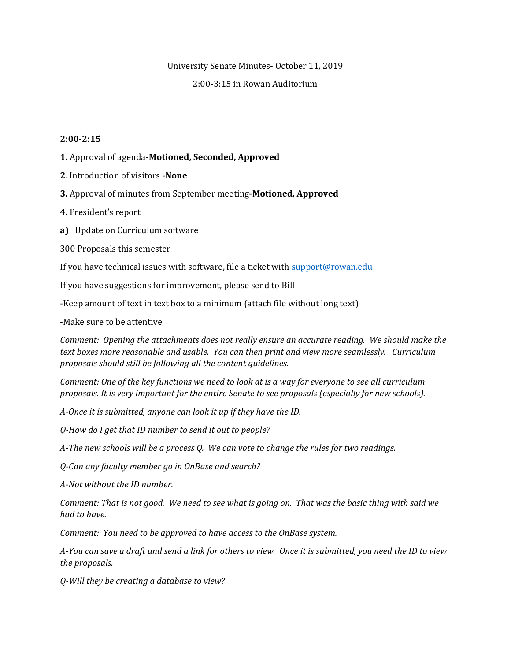#### University Senate Minutes- October 11, 2019

#### 2:00-3:15 in Rowan Auditorium

#### **2:00-2:15**

- **1.** Approval of agenda-**Motioned, Seconded, Approved**
- **2**. Introduction of visitors -**None**
- **3.** Approval of minutes from September meeting-**Motioned, Approved**
- **4.** President's report
- **a)** Update on Curriculum software
- 300 Proposals this semester

If you have technical issues with software, file a ticket wit[h support@rowan.edu](mailto:support@rowan.edu)

If you have suggestions for improvement, please send to Bill

-Keep amount of text in text box to a minimum (attach file without long text)

-Make sure to be attentive

*Comment: Opening the attachments does not really ensure an accurate reading. We should make the text boxes more reasonable and usable. You can then print and view more seamlessly. Curriculum proposals should still be following all the content guidelines.* 

*Comment: One of the key functions we need to look at is a way for everyone to see all curriculum proposals. It is very important for the entire Senate to see proposals (especially for new schools).* 

*A-Once it is submitted, anyone can look it up if they have the ID.*

*Q-How do I get that ID number to send it out to people?*

*A-The new schools will be a process Q. We can vote to change the rules for two readings.*

*Q-Can any faculty member go in OnBase and search?*

*A-Not without the ID number.* 

*Comment: That is not good. We need to see what is going on. That was the basic thing with said we had to have.* 

*Comment: You need to be approved to have access to the OnBase system.*

*A-You can save a draft and send a link for others to view. Once it is submitted, you need the ID to view the proposals.*

*Q-Will they be creating a database to view?*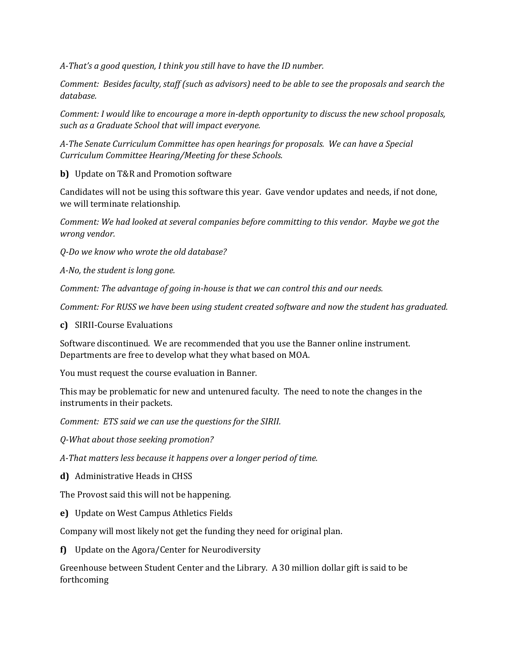*A-That's a good question, I think you still have to have the ID number.*

*Comment: Besides faculty, staff (such as advisors) need to be able to see the proposals and search the database.*

*Comment: I would like to encourage a more in-depth opportunity to discuss the new school proposals, such as a Graduate School that will impact everyone.* 

*A-The Senate Curriculum Committee has open hearings for proposals. We can have a Special Curriculum Committee Hearing/Meeting for these Schools.*

**b)** Update on T&R and Promotion software

Candidates will not be using this software this year. Gave vendor updates and needs, if not done, we will terminate relationship.

*Comment: We had looked at several companies before committing to this vendor. Maybe we got the wrong vendor.* 

*Q-Do we know who wrote the old database?*

*A-No, the student is long gone.* 

*Comment: The advantage of going in-house is that we can control this and our needs.*

*Comment: For RUSS we have been using student created software and now the student has graduated.* 

### **c)** SIRII-Course Evaluations

Software discontinued. We are recommended that you use the Banner online instrument. Departments are free to develop what they what based on MOA.

You must request the course evaluation in Banner.

This may be problematic for new and untenured faculty. The need to note the changes in the instruments in their packets.

*Comment: ETS said we can use the questions for the SIRII.*

*Q-What about those seeking promotion?*

*A-That matters less because it happens over a longer period of time.*

**d)** Administrative Heads in CHSS

The Provost said this will not be happening.

**e)** Update on West Campus Athletics Fields

Company will most likely not get the funding they need for original plan.

**f)** Update on the Agora/Center for Neurodiversity

Greenhouse between Student Center and the Library. A 30 million dollar gift is said to be forthcoming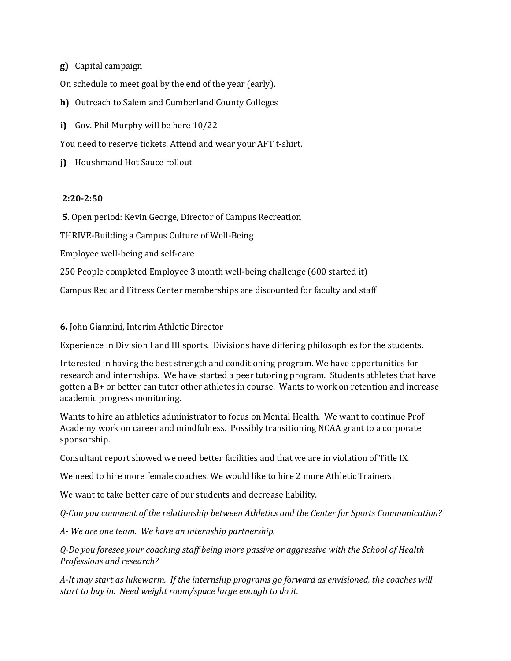**g)** Capital campaign

On schedule to meet goal by the end of the year (early).

**h)** Outreach to Salem and Cumberland County Colleges

**i)** Gov. Phil Murphy will be here 10/22

You need to reserve tickets. Attend and wear your AFT t-shirt.

**j)** Houshmand Hot Sauce rollout

### **2:20-2:50**

**5**. Open period: Kevin George, Director of Campus Recreation

THRIVE-Building a Campus Culture of Well-Being

Employee well-being and self-care

250 People completed Employee 3 month well-being challenge (600 started it)

Campus Rec and Fitness Center memberships are discounted for faculty and staff

**6.** John Giannini, Interim Athletic Director

Experience in Division I and III sports. Divisions have differing philosophies for the students.

Interested in having the best strength and conditioning program. We have opportunities for research and internships. We have started a peer tutoring program. Students athletes that have gotten a B+ or better can tutor other athletes in course. Wants to work on retention and increase academic progress monitoring.

Wants to hire an athletics administrator to focus on Mental Health. We want to continue Prof Academy work on career and mindfulness. Possibly transitioning NCAA grant to a corporate sponsorship.

Consultant report showed we need better facilities and that we are in violation of Title IX.

We need to hire more female coaches. We would like to hire 2 more Athletic Trainers.

We want to take better care of our students and decrease liability.

*Q-Can you comment of the relationship between Athletics and the Center for Sports Communication?*

*A- We are one team. We have an internship partnership.*

*Q-Do you foresee your coaching staff being more passive or aggressive with the School of Health Professions and research?*

*A-It may start as lukewarm. If the internship programs go forward as envisioned, the coaches will start to buy in. Need weight room/space large enough to do it.*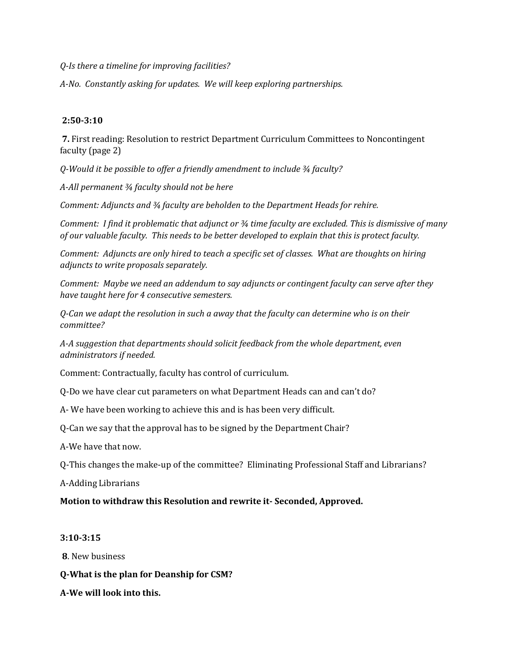*Q-Is there a timeline for improving facilities?*

*A-No. Constantly asking for updates. We will keep exploring partnerships.*

### **2:50-3:10**

**7.** First reading: Resolution to restrict Department Curriculum Committees to Noncontingent faculty (page 2)

*Q-Would it be possible to offer a friendly amendment to include ¾ faculty?*

*A-All permanent ¾ faculty should not be here*

*Comment: Adjuncts and ¾ faculty are beholden to the Department Heads for rehire.*

*Comment: I find it problematic that adjunct or ¾ time faculty are excluded. This is dismissive of many of our valuable faculty. This needs to be better developed to explain that this is protect faculty.*

*Comment: Adjuncts are only hired to teach a specific set of classes. What are thoughts on hiring adjuncts to write proposals separately.*

*Comment: Maybe we need an addendum to say adjuncts or contingent faculty can serve after they have taught here for 4 consecutive semesters.*

*Q-Can we adapt the resolution in such a away that the faculty can determine who is on their committee?*

*A-A suggestion that departments should solicit feedback from the whole department, even administrators if needed.*

Comment: Contractually, faculty has control of curriculum.

Q-Do we have clear cut parameters on what Department Heads can and can't do?

A- We have been working to achieve this and is has been very difficult.

Q-Can we say that the approval has to be signed by the Department Chair?

A-We have that now.

Q-This changes the make-up of the committee? Eliminating Professional Staff and Librarians?

A-Adding Librarians

## **Motion to withdraw this Resolution and rewrite it- Seconded, Approved.**

### **3:10-3:15**

**8**. New business

- **Q-What is the plan for Deanship for CSM?**
- **A-We will look into this.**